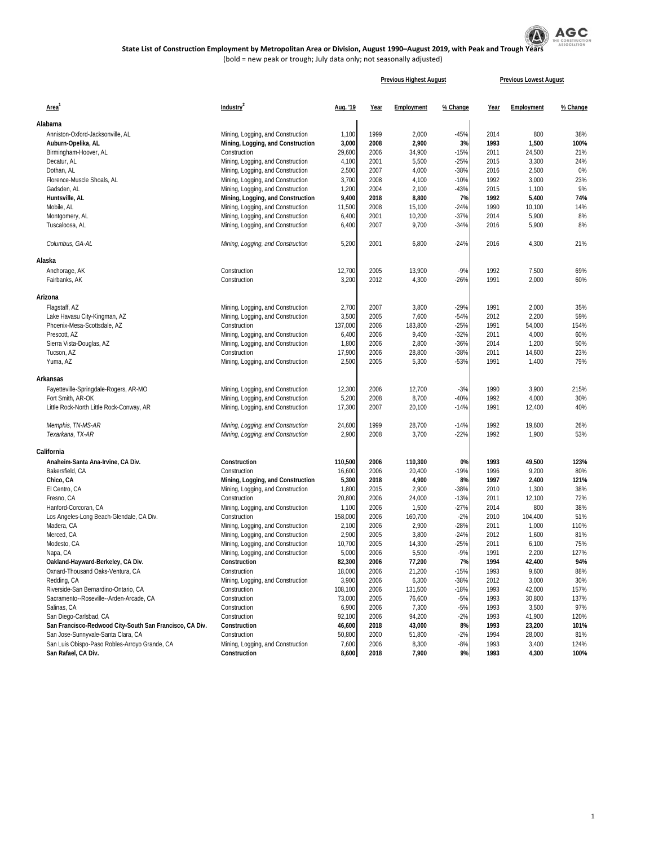

|                                                                                   |                                   | <b>Previous Highest August</b> |      |            |          | <b>Previous Lowest August</b> |            |          |
|-----------------------------------------------------------------------------------|-----------------------------------|--------------------------------|------|------------|----------|-------------------------------|------------|----------|
| Area <sup>1</sup>                                                                 | Industry <sup>2</sup>             | Aug. '19                       | Year | Employment | % Change | Year                          | Employment | % Change |
| Alabama                                                                           |                                   |                                |      |            |          |                               |            |          |
| Anniston-Oxford-Jacksonville, AL                                                  |                                   | 1,100                          | 1999 | 2,000      | $-45%$   | 2014                          | 800        | 38%      |
|                                                                                   | Mining, Logging, and Construction |                                |      | 2,900      | 3%       | 1993                          | 1,500      | 100%     |
| Auburn-Opelika, AL                                                                | Mining, Logging, and Construction | 3,000                          | 2008 |            | $-15%$   |                               |            |          |
| Birmingham-Hoover, AL                                                             | Construction                      | 29,600                         | 2006 | 34,900     |          | 2011                          | 24,500     | 21%      |
| Decatur, AL                                                                       | Mining, Logging, and Construction | 4,100                          | 2001 | 5,500      | $-25%$   | 2015                          | 3,300      | 24%      |
| Dothan, AL                                                                        | Mining, Logging, and Construction | 2,500                          | 2007 | 4,000      | $-38%$   | 2016                          | 2,500      | 0%       |
| Florence-Muscle Shoals, AL                                                        | Mining, Logging, and Construction | 3,700                          | 2008 | 4,100      | $-10%$   | 1992                          | 3,000      | 23%      |
| Gadsden, AL                                                                       | Mining, Logging, and Construction | 1,200                          | 2004 | 2,100      | $-43%$   | 2015                          | 1,100      | 9%       |
| Huntsville, AL                                                                    | Mining, Logging, and Construction | 9,400                          | 2018 | 8,800      | 7%       | 1992                          | 5,400      | 74%      |
| Mobile, AL                                                                        | Mining, Logging, and Construction | 11,500                         | 2008 | 15,100     | $-24%$   | 1990                          | 10,100     | 14%      |
| Montgomery, AL                                                                    | Mining, Logging, and Construction | 6,400                          | 2001 | 10,200     | $-37%$   | 2014                          | 5,900      | 8%       |
| Tuscaloosa, AL                                                                    | Mining, Logging, and Construction | 6,400                          | 2007 | 9,700      | $-34%$   | 2016                          | 5,900      | 8%       |
| Columbus, GA-AL                                                                   | Mining, Logging, and Construction | 5,200                          | 2001 | 6,800      | $-24%$   | 2016                          | 4,300      | 21%      |
| Alaska                                                                            |                                   |                                |      |            |          |                               |            |          |
| Anchorage, AK                                                                     | Construction                      | 12,700                         | 2005 | 13,900     | $-9%$    | 1992                          | 7,500      | 69%      |
| Fairbanks, AK                                                                     | Construction                      | 3,200                          | 2012 | 4,300      | $-26%$   | 1991                          | 2,000      | 60%      |
| Arizona                                                                           |                                   |                                |      |            |          |                               |            |          |
| Flagstaff, AZ                                                                     | Mining, Logging, and Construction | 2,700                          | 2007 | 3,800      | $-29%$   | 1991                          | 2,000      | 35%      |
| Lake Havasu City-Kingman, AZ                                                      | Mining, Logging, and Construction | 3,500                          | 2005 | 7,600      | $-54%$   | 2012                          | 2,200      | 59%      |
| Phoenix-Mesa-Scottsdale, AZ                                                       | Construction                      | 137,000                        | 2006 | 183,800    | $-25%$   | 1991                          | 54,000     | 154%     |
| Prescott, AZ                                                                      | Mining, Logging, and Construction | 6,400                          | 2006 | 9,400      | $-32%$   | 2011                          | 4,000      | 60%      |
| Sierra Vista-Douglas, AZ                                                          | Mining, Logging, and Construction | 1,800                          | 2006 | 2,800      | $-36%$   | 2014                          | 1,200      | 50%      |
| Tucson, AZ                                                                        | Construction                      | 17,900                         | 2006 | 28,800     | $-38%$   | 2011                          | 14,600     | 23%      |
| Yuma, AZ                                                                          | Mining, Logging, and Construction | 2,500                          | 2005 | 5,300      | $-53%$   | 1991                          | 1,400      | 79%      |
| Arkansas                                                                          |                                   |                                |      |            |          |                               |            |          |
| Fayetteville-Springdale-Rogers, AR-MO                                             | Mining, Logging, and Construction | 12,300                         | 2006 | 12,700     | $-3%$    | 1990                          | 3,900      | 215%     |
| Fort Smith, AR-OK                                                                 | Mining, Logging, and Construction | 5,200                          | 2008 | 8,700      | $-40%$   | 1992                          | 4,000      | 30%      |
| Little Rock-North Little Rock-Conway, AR                                          | Mining, Logging, and Construction | 17,300                         | 2007 | 20,100     | $-14%$   | 1991                          | 12,400     | 40%      |
| Memphis, TN-MS-AR                                                                 | Mining, Logging, and Construction | 24,600                         | 1999 | 28,700     | $-14%$   | 1992                          | 19,600     | 26%      |
| Texarkana, TX-AR                                                                  | Mining, Logging, and Construction | 2,900                          | 2008 | 3,700      | $-22%$   | 1992                          | 1,900      | 53%      |
| California                                                                        |                                   |                                |      |            |          |                               |            |          |
| Anaheim-Santa Ana-Irvine, CA Div.                                                 | Construction                      | 110,500                        | 2006 | 110,300    | 0%       | 1993                          | 49,500     | 123%     |
| Bakersfield, CA                                                                   | Construction                      | 16,600                         | 2006 | 20,400     | $-19%$   | 1996                          | 9,200      | 80%      |
| Chico, CA                                                                         | Mining, Logging, and Construction | 5,300                          | 2018 | 4,900      | 8%       | 1997                          | 2,400      | 121%     |
| El Centro, CA                                                                     | Mining, Logging, and Construction | 1,800                          | 2015 | 2,900      | $-38%$   | 2010                          | 1,300      | 38%      |
| Fresno, CA                                                                        | Construction                      | 20,800                         | 2006 | 24,000     | $-13%$   | 2011                          | 12,100     | 72%      |
| Hanford-Corcoran, CA                                                              | Mining, Logging, and Construction | 1,100                          | 2006 | 1,500      | $-27%$   | 2014                          | 800        | 38%      |
| Los Angeles-Long Beach-Glendale, CA Div.                                          | Construction                      | 158,000                        | 2006 | 160,700    | $-2%$    | 2010                          | 104,400    | 51%      |
| Madera, CA                                                                        | Mining, Logging, and Construction | 2,100                          | 2006 | 2,900      | $-28%$   | 2011                          | 1,000      | 110%     |
| Merced, CA                                                                        | Mining, Logging, and Construction | 2,900                          | 2005 | 3,800      | $-24%$   | 2012                          | 1,600      | 81%      |
| Modesto, CA                                                                       | Mining, Logging, and Construction | 10,700                         | 2005 | 14,300     | $-25%$   | 2011                          | 6,100      | 75%      |
| Napa, CA                                                                          | Mining, Logging, and Construction | 5,000                          | 2006 | 5,500      | $-9%$    | 1991                          | 2,200      | 127%     |
| Oakland-Hayward-Berkeley, CA Div.                                                 | Construction                      | 82,300                         | 2006 | 77,200     | 7%       | 1994                          | 42,400     | 94%      |
| Oxnard-Thousand Oaks-Ventura, CA                                                  | Construction                      | 18,000                         | 2006 | 21,200     | $-15%$   | 1993                          | 9,600      | 88%      |
| Redding, CA                                                                       | Mining, Logging, and Construction | 3,900                          | 2006 | 6,300      | $-38%$   | 2012                          | 3,000      | 30%      |
| Riverside-San Bernardino-Ontario, CA                                              | Construction                      | 108,100                        | 2006 | 131,500    | $-18%$   | 1993                          | 42,000     | 157%     |
| Sacramento--Roseville--Arden-Arcade, CA                                           | Construction                      | 73,000                         | 2005 | 76,600     | $-5%$    | 1993                          | 30,800     | 137%     |
|                                                                                   |                                   |                                |      |            |          |                               |            |          |
| Salinas, CA                                                                       | Construction                      | 6,900                          | 2006 | 7,300      | $-5%$    | 1993                          | 3,500      | 97%      |
| San Diego-Carlsbad, CA<br>San Francisco-Redwood City-South San Francisco, CA Div. | Construction                      | 92,100                         | 2006 | 94,200     | $-2%$    | 1993                          | 41,900     | 120%     |
|                                                                                   | Construction                      | 46,600                         | 2018 | 43,000     | 8%       | 1993                          | 23,200     | 101%     |
| San Jose-Sunnyvale-Santa Clara, CA                                                | Construction                      | 50,800                         | 2000 | 51,800     | $-2%$    | 1994                          | 28,000     | 81%      |
| San Luis Obispo-Paso Robles-Arroyo Grande, CA                                     | Mining, Logging, and Construction | 7,600                          | 2006 | 8,300      | -8%      | 1993                          | 3,400      | 124%     |
| San Rafael, CA Div.                                                               | Construction                      | 8,600                          | 2018 | 7,900      | 9%       | 1993                          | 4,300      | 100%     |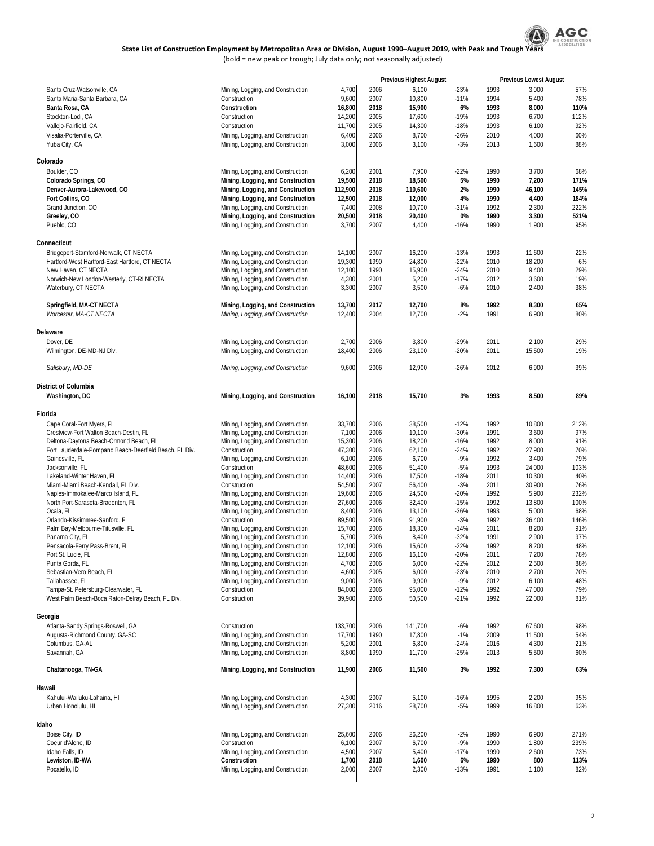

|                                                                                         |                                                                        |                   | <b>Previous Highest August</b> |                   |                  | <b>Previous Lowest August</b> |                  |              |
|-----------------------------------------------------------------------------------------|------------------------------------------------------------------------|-------------------|--------------------------------|-------------------|------------------|-------------------------------|------------------|--------------|
| Santa Cruz-Watsonville, CA                                                              | Mining, Logging, and Construction                                      | 4,700             | 2006                           | 6,100             | $-23%$           | 1993                          | 3,000            | 57%          |
| Santa Maria-Santa Barbara, CA                                                           | Construction                                                           | 9,600             | 2007                           | 10,800            | $-11%$           | 1994                          | 5,400            | 78%          |
| Santa Rosa, CA                                                                          | Construction                                                           | 16,800            | 2018                           | 15,900            | 6%               | 1993                          | 8,000            | 110%         |
| Stockton-Lodi, CA                                                                       | Construction<br>Construction                                           | 14,200            | 2005<br>2005                   | 17,600            | $-19%$<br>$-18%$ | 1993<br>1993                  | 6,700            | 112%<br>92%  |
| Vallejo-Fairfield, CA<br>Visalia-Porterville, CA                                        | Mining, Logging, and Construction                                      | 11,700<br>6,400   | 2006                           | 14,300<br>8,700   | $-26%$           | 2010                          | 6,100<br>4,000   | 60%          |
| Yuba City, CA                                                                           | Mining, Logging, and Construction                                      | 3,000             | 2006                           | 3,100             | $-3%$            | 2013                          | 1,600            | 88%          |
|                                                                                         |                                                                        |                   |                                |                   |                  |                               |                  |              |
| Colorado                                                                                |                                                                        |                   |                                |                   |                  |                               |                  |              |
| Boulder, CO                                                                             | Mining, Logging, and Construction                                      | 6,200             | 2001                           | 7,900             | $-22%$           | 1990                          | 3,700            | 68%          |
| Colorado Springs, CO                                                                    | Mining, Logging, and Construction                                      | 19,500            | 2018                           | 18,500            | 5%               | 1990                          | 7,200            | 171%         |
| Denver-Aurora-Lakewood, CO<br>Fort Collins, CO                                          | Mining, Logging, and Construction<br>Mining, Logging, and Construction | 112,900<br>12,500 | 2018<br>2018                   | 110,600<br>12,000 | 2%<br>4%         | 1990<br>1990                  | 46,100<br>4,400  | 145%<br>184% |
| Grand Junction, CO                                                                      | Mining, Logging, and Construction                                      | 7,400             | 2008                           | 10,700            | $-31%$           | 1992                          | 2,300            | 222%         |
| Greeley, CO                                                                             | Mining, Logging, and Construction                                      | 20,500            | 2018                           | 20,400            | 0%               | 1990                          | 3,300            | 521%         |
| Pueblo, CO                                                                              | Mining, Logging, and Construction                                      | 3,700             | 2007                           | 4,400             | $-16%$           | 1990                          | 1,900            | 95%          |
| Connecticut                                                                             |                                                                        |                   |                                |                   |                  |                               |                  |              |
| Bridgeport-Stamford-Norwalk, CT NECTA                                                   | Mining, Logging, and Construction                                      | 14,100            | 2007                           | 16,200            | $-13%$           | 1993                          | 11,600           | 22%          |
| Hartford-West Hartford-East Hartford, CT NECTA                                          | Mining, Logging, and Construction                                      | 19,300            | 1990                           | 24,800            | $-22%$           | 2010                          | 18,200           | 6%           |
| New Haven, CT NECTA                                                                     | Mining, Logging, and Construction                                      | 12,100            | 1990                           | 15,900            | $-24%$           | 2010                          | 9,400            | 29%          |
| Norwich-New London-Westerly, CT-RI NECTA                                                | Mining, Logging, and Construction                                      | 4,300             | 2001                           | 5,200             | $-17%$           | 2012                          | 3,600            | 19%          |
| Waterbury, CT NECTA                                                                     | Mining, Logging, and Construction                                      | 3,300             | 2007                           | 3,500             | $-6%$            | 2010                          | 2,400            | 38%          |
| Springfield, MA-CT NECTA                                                                | Mining, Logging, and Construction                                      | 13,700            | 2017                           | 12,700            | 8%               | 1992                          | 8,300            | 65%          |
| Worcester, MA-CT NECTA                                                                  | Mining, Logging, and Construction                                      | 12,400            | 2004                           | 12,700            | $-2%$            | 1991                          | 6,900            | 80%          |
|                                                                                         |                                                                        |                   |                                |                   |                  |                               |                  |              |
| Delaware                                                                                |                                                                        |                   |                                |                   |                  |                               |                  |              |
| Dover, DF<br>Wilmington, DE-MD-NJ Div.                                                  | Mining, Logging, and Construction<br>Mining, Logging, and Construction | 2,700<br>18,400   | 2006<br>2006                   | 3,800<br>23,100   | $-29%$<br>$-20%$ | 2011<br>2011                  | 2,100<br>15,500  | 29%<br>19%   |
|                                                                                         |                                                                        |                   |                                |                   |                  |                               |                  |              |
| Salisbury, MD-DE                                                                        | Mining, Logging, and Construction                                      | 9,600             | 2006                           | 12,900            | $-26%$           | 2012                          | 6,900            | 39%          |
| <b>District of Columbia</b>                                                             |                                                                        |                   |                                |                   |                  |                               |                  |              |
| Washington, DC                                                                          | Mining, Logging, and Construction                                      | 16,100            | 2018                           | 15,700            | 3%               | 1993                          | 8,500            | 89%          |
| Florida                                                                                 |                                                                        |                   |                                |                   |                  |                               |                  |              |
| Cape Coral-Fort Myers, FL                                                               | Mining, Logging, and Construction                                      | 33,700            | 2006                           | 38,500            | $-12%$           | 1992                          | 10,800           | 212%         |
| Crestview-Fort Walton Beach-Destin, FL                                                  | Mining, Logging, and Construction                                      | 7,100             | 2006                           | 10,100            | $-30%$           | 1991                          | 3,600            | 97%          |
| Deltona-Daytona Beach-Ormond Beach, FL                                                  | Mining, Logging, and Construction                                      | 15,300            | 2006                           | 18,200            | $-16%$           | 1992                          | 8,000            | 91%          |
| Fort Lauderdale-Pompano Beach-Deerfield Beach, FL Div.                                  | Construction                                                           | 47,300            | 2006                           | 62,100            | $-24%$           | 1992                          | 27,900           | 70%          |
| Gainesville, FL                                                                         | Mining, Logging, and Construction                                      | 6,100             | 2006                           | 6,700             | $-9%$            | 1992                          | 3,400            | 79%          |
| Jacksonville, FL<br>Lakeland-Winter Haven, FL                                           | Construction<br>Mining, Logging, and Construction                      | 48,600<br>14,400  | 2006<br>2006                   | 51,400<br>17,500  | $-5%$<br>$-18%$  | 1993<br>2011                  | 24,000<br>10,300 | 103%<br>40%  |
| Miami-Miami Beach-Kendall, FL Div.                                                      | Construction                                                           | 54,500            | 2007                           | 56,400            | $-3%$            | 2011                          | 30,900           | 76%          |
| Naples-Immokalee-Marco Island, FL                                                       | Mining, Logging, and Construction                                      | 19,600            | 2006                           | 24,500            | $-20%$           | 1992                          | 5,900            | 232%         |
| North Port-Sarasota-Bradenton, FL                                                       | Mining, Logging, and Construction                                      | 27,600            | 2006                           | 32,400            | $-15%$           | 1992                          | 13,800           | 100%         |
| Ocala, FL                                                                               | Mining, Logging, and Construction                                      | 8,400             | 2006                           | 13,100            | $-36%$           | 1993                          | 5,000            | 68%          |
| Orlando-Kissimmee-Sanford, FL                                                           | Construction                                                           | 89,500            | 2006                           | 91,900            | $-3%$            | 1992                          | 36,400           | 146%         |
| Palm Bay-Melbourne-Titusville, FL                                                       | Mining, Logging, and Construction                                      | 15,700<br>5,700   | 2006<br>2006                   | 18,300<br>8,400   | $-14%$<br>$-32%$ | 2011<br>1991                  | 8,200<br>2,900   | 91%<br>97%   |
| Panama City, FL<br>Pensacola-Ferry Pass-Brent, FL                                       | Mining, Logging, and Construction<br>Mining, Logging, and Construction | 12,100            | 2006                           | 15,600            | $-22%$           | 1992                          | 8,200            | 48%          |
| Port St. Lucie, FL                                                                      | Mining, Logging, and Construction                                      | 12,800            | 2006                           | 16,100            | -20%             | 2011                          | 7,200            | 78%          |
| Punta Gorda, FL                                                                         | Mining, Logging, and Construction                                      | 4,700             | 2006                           | 6,000             | $-22%$           | 2012                          | 2,500            | 88%          |
| Sebastian-Vero Beach, FL                                                                | Mining, Logging, and Construction                                      | 4,600             | 2005                           | 6,000             | $-23%$           | 2010                          | 2,700            | 70%          |
| Tallahassee, FL                                                                         | Mining, Logging, and Construction                                      | 9,000             | 2006                           | 9,900             | $-9%$            | 2012                          | 6,100            | 48%          |
| Tampa-St. Petersburg-Clearwater, FL<br>West Palm Beach-Boca Raton-Delray Beach, FL Div. | Construction<br>Construction                                           | 84,000<br>39,900  | 2006<br>2006                   | 95,000<br>50,500  | $-12%$<br>$-21%$ | 1992<br>1992                  | 47,000<br>22,000 | 79%<br>81%   |
|                                                                                         |                                                                        |                   |                                |                   |                  |                               |                  |              |
| Georgia                                                                                 |                                                                        |                   |                                |                   |                  |                               |                  |              |
| Atlanta-Sandy Springs-Roswell, GA                                                       | Construction                                                           | 133,700           | 2006                           | 141,700           | $-6%$            | 1992                          | 67,600           | 98%          |
| Augusta-Richmond County, GA-SC                                                          | Mining, Logging, and Construction                                      | 17,700            | 1990                           | 17,800            | $-1%$            | 2009                          | 11,500           | 54%          |
| Columbus, GA-AL<br>Savannah, GA                                                         | Mining, Logging, and Construction<br>Mining, Logging, and Construction | 5,200<br>8,800    | 2001<br>1990                   | 6,800<br>11,700   | $-24%$<br>$-25%$ | 2016<br>2013                  | 4,300<br>5,500   | 21%<br>60%   |
| Chattanooga, TN-GA                                                                      | Mining, Logging, and Construction                                      | 11,900            | 2006                           | 11,500            | 3%               | 1992                          | 7,300            | 63%          |
|                                                                                         |                                                                        |                   |                                |                   |                  |                               |                  |              |
| Hawaii<br>Kahului-Wailuku-Lahaina, HI                                                   | Mining, Logging, and Construction                                      | 4,300             | 2007                           | 5,100             | $-16%$           | 1995                          | 2,200            | 95%          |
| Urban Honolulu, HI                                                                      | Mining, Logging, and Construction                                      | 27,300            | 2016                           | 28,700            | $-5%$            | 1999                          | 16,800           | 63%          |
| Idaho                                                                                   |                                                                        |                   |                                |                   |                  |                               |                  |              |
| Boise City, ID                                                                          | Mining, Logging, and Construction                                      | 25,600            | 2006                           | 26,200            | $-2%$            | 1990                          | 6,900            | 271%         |
| Coeur d'Alene, ID                                                                       | Construction                                                           | 6,100             | 2007                           | 6,700             | $-9%$            | 1990                          | 1,800            | 239%         |
| Idaho Falls, ID<br>Lewiston, ID-WA                                                      | Mining, Logging, and Construction<br>Construction                      | 4,500             | 2007                           | 5,400             | $-17%$           | 1990                          | 2,600            | 73%          |
| Pocatello, ID                                                                           | Mining, Logging, and Construction                                      | 1,700<br>2,000    | 2018<br>2007                   | 1,600<br>2,300    | 6%<br>$-13%$     | 1990<br>1991                  | 800<br>1,100     | 113%<br>82%  |
|                                                                                         |                                                                        |                   |                                |                   |                  |                               |                  |              |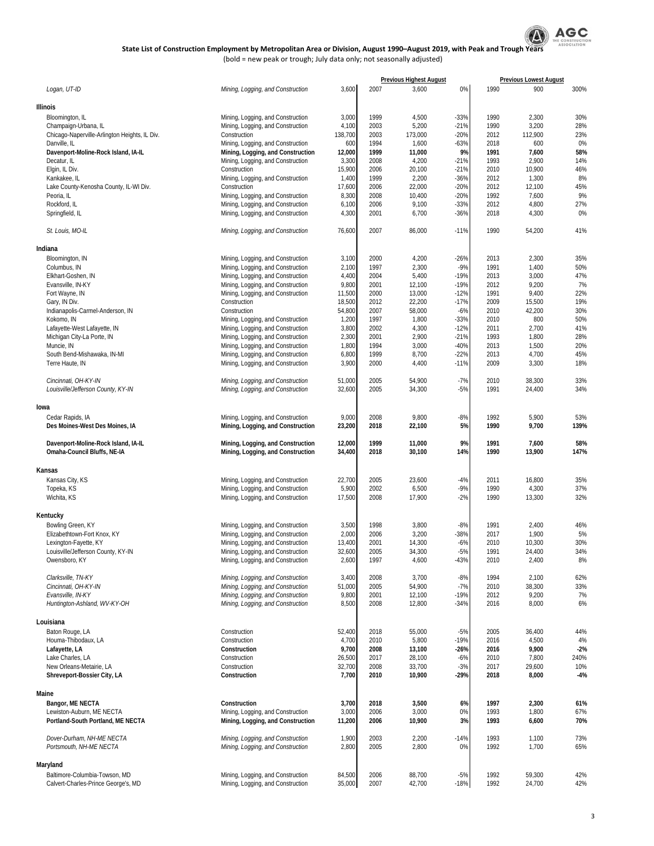

|                                                         |                                                                        |                |              | <b>Previous Highest August</b> |        |              | <b>Previous Lowest August</b> |              |
|---------------------------------------------------------|------------------------------------------------------------------------|----------------|--------------|--------------------------------|--------|--------------|-------------------------------|--------------|
| Logan, UT-ID                                            | Mining, Logging, and Construction                                      | 3,600          | 2007         | 3,600                          | 0%     | 1990         | 900                           | 300%         |
|                                                         |                                                                        |                |              |                                |        |              |                               |              |
| Illinois                                                |                                                                        |                |              |                                |        |              |                               |              |
|                                                         |                                                                        |                |              |                                |        |              |                               |              |
| Bloomington, IL                                         | Mining, Logging, and Construction                                      | 3,000          | 1999         | 4,500                          | $-33%$ | 1990         | 2,300                         | 30%          |
| Champaign-Urbana, IL                                    | Mining, Logging, and Construction                                      | 4,100          | 2003         | 5,200                          | $-21%$ | 1990         | 3,200                         | 28%          |
| Chicago-Naperville-Arlington Heights, IL Div.           | Construction                                                           | 138,700        | 2003         | 173,000                        | $-20%$ | 2012         | 112,900                       | 23%          |
| Danville, IL                                            | Mining, Logging, and Construction                                      | 600            | 1994         | 1,600                          | $-63%$ | 2018         | 600                           | 0%           |
| Davenport-Moline-Rock Island, IA-IL                     | Mining, Logging, and Construction                                      | 12,000         | 1999         | 11,000                         | 9%     | 1991         | 7,600                         | 58%          |
| Decatur, IL                                             | Mining, Logging, and Construction                                      | 3,300          | 2008         | 4,200                          | $-21%$ | 1993         | 2,900                         | 14%          |
| Elgin, IL Div.                                          | Construction                                                           | 15,900         | 2006         | 20,100                         | $-21%$ | 2010         | 10,900                        | 46%          |
| Kankakee, IL                                            | Mining, Logging, and Construction                                      | 1,400          | 1999         | 2,200                          | $-36%$ | 2012         | 1,300                         | 8%           |
| Lake County-Kenosha County, IL-WI Div.                  | Construction                                                           | 17,600         | 2006         | 22,000                         | $-20%$ | 2012         | 12,100                        | 45%          |
| Peoria, IL                                              | Mining, Logging, and Construction                                      | 8,300          | 2008         | 10,400                         | $-20%$ | 1992         | 7,600                         | 9%           |
| Rockford, IL                                            | Mining, Logging, and Construction                                      | 6,100          | 2006         | 9,100                          | $-33%$ | 2012         | 4,800                         | 27%          |
|                                                         |                                                                        |                |              |                                |        |              |                               |              |
| Springfield, IL                                         | Mining, Logging, and Construction                                      | 4,300          | 2001         | 6,700                          | $-36%$ | 2018         | 4,300                         | 0%           |
| St. Louis, MO-IL                                        | Mining, Logging, and Construction                                      | 76,600         | 2007         | 86,000                         | $-11%$ | 1990         | 54,200                        | 41%          |
| Indiana                                                 |                                                                        |                |              |                                |        |              |                               |              |
|                                                         |                                                                        |                |              |                                |        |              |                               |              |
| Bloomington, IN                                         | Mining, Logging, and Construction                                      | 3,100          | 2000         | 4,200                          | $-26%$ | 2013         | 2,300                         | 35%          |
| Columbus, IN                                            | Mining, Logging, and Construction                                      | 2,100          | 1997         | 2,300                          | $-9%$  | 1991         | 1,400                         | 50%          |
| Elkhart-Goshen, IN                                      | Mining, Logging, and Construction                                      | 4,400          | 2004         | 5,400                          | $-19%$ | 2013         | 3,000                         | 47%          |
| Evansville, IN-KY                                       | Mining, Logging, and Construction                                      | 9,800          | 2001         | 12,100                         | $-19%$ | 2012         | 9,200                         | 7%           |
| Fort Wayne, IN                                          | Mining, Logging, and Construction                                      | 11,500         | 2000         | 13,000                         | $-12%$ | 1991         | 9,400                         | 22%          |
| Gary, IN Div.                                           | Construction                                                           | 18,500         | 2012         | 22,200                         | $-17%$ | 2009         | 15,500                        | 19%          |
| Indianapolis-Carmel-Anderson, IN                        | Construction                                                           | 54,800         | 2007         | 58,000                         | $-6%$  | 2010         | 42,200                        | 30%          |
| Kokomo, IN                                              | Mining, Logging, and Construction                                      | 1,200          | 1997         | 1,800                          | $-33%$ | 2010         | 800                           | 50%          |
| Lafayette-West Lafayette, IN                            | Mining, Logging, and Construction                                      | 3,800          | 2002         | 4,300                          | $-12%$ | 2011         | 2,700                         | 41%          |
|                                                         |                                                                        |                |              |                                |        |              |                               |              |
| Michigan City-La Porte, IN                              | Mining, Logging, and Construction                                      | 2,300          | 2001         | 2,900                          | $-21%$ | 1993         | 1,800                         | 28%          |
| Muncie, IN                                              | Mining, Logging, and Construction                                      | 1,800          | 1994         | 3,000                          | $-40%$ | 2013         | 1,500                         | 20%          |
| South Bend-Mishawaka, IN-MI                             | Mining, Logging, and Construction                                      | 6,800          | 1999         | 8,700                          | $-22%$ | 2013         | 4,700                         | 45%          |
| Terre Haute, IN                                         | Mining, Logging, and Construction                                      | 3,900          | 2000         | 4,400                          | $-11%$ | 2009         | 3,300                         | 18%          |
| Cincinnati, OH-KY-IN                                    | Mining, Logging, and Construction                                      | 51,000         | 2005         | 54,900                         | $-7%$  | 2010         | 38,300                        | 33%          |
| Louisville/Jefferson County, KY-IN                      | Mining, Logging, and Construction                                      | 32,600         | 2005         | 34,300                         | $-5%$  | 1991         | 24,400                        | 34%          |
|                                                         |                                                                        |                |              |                                |        |              |                               |              |
| lowa                                                    |                                                                        |                |              |                                |        |              |                               |              |
| Cedar Rapids, IA                                        | Mining, Logging, and Construction                                      | 9,000          | 2008         | 9,800                          | $-8%$  | 1992         | 5,900                         | 53%          |
| Des Moines-West Des Moines, IA                          | Mining, Logging, and Construction                                      | 23,200         | 2018         | 22,100                         | 5%     | 1990         | 9,700                         | 139%         |
|                                                         |                                                                        |                |              |                                |        |              |                               |              |
| Davenport-Moline-Rock Island, IA-IL                     | Mining, Logging, and Construction                                      | 12,000         | 1999         | 11,000                         | 9%     | 1991         | 7,600                         | 58%          |
| Omaha-Council Bluffs, NE-IA                             | Mining, Logging, and Construction                                      | 34,400         | 2018         | 30,100                         | 14%    | 1990         | 13,900                        | 147%         |
|                                                         |                                                                        |                |              |                                |        |              |                               |              |
| Kansas                                                  |                                                                        |                |              |                                |        |              |                               |              |
| Kansas City, KS                                         |                                                                        | 22,700         | 2005         | 23,600                         | $-4%$  | 2011         | 16,800                        | 35%          |
|                                                         | Mining, Logging, and Construction                                      |                |              |                                |        |              |                               |              |
| Topeka, KS                                              | Mining, Logging, and Construction                                      | 5,900          | 2002         | 6,500                          | $-9%$  | 1990         | 4,300                         | 37%          |
| Wichita, KS                                             | Mining, Logging, and Construction                                      | 17,500         | 2008         | 17,900                         | $-2%$  | 1990         | 13,300                        | 32%          |
|                                                         |                                                                        |                |              |                                |        |              |                               |              |
| Kentucky                                                |                                                                        |                |              |                                |        |              |                               |              |
| Bowling Green, KY                                       | Mining, Logging, and Construction                                      | 3,500          | 1998         | 3,800                          | $-8%$  | 1991         | 2,400                         | 46%          |
| Elizabethtown-Fort Knox, KY                             | Mining, Logging, and Construction                                      | 2,000          | 2006         | 3,200                          | $-38%$ | 2017         | 1,900                         | 5%           |
| Lexington-Fayette, KY                                   | Mining, Logging, and Construction                                      | 13,400         | 2001         | 14,300                         | $-6%$  | 2010         | 10,300                        | 30%          |
|                                                         | Mining, Logging, and Construction                                      | 32,600         | 2005         | 34,300                         | $-5%$  | 1991         | 24,400                        | 34%          |
| Louisville/Jefferson County, KY-IN<br>Owensboro, KY     | Mining, Logging, and Construction                                      | 2,600          | 1997         | 4,600                          | $-43%$ | 2010         | 2,400                         | 8%           |
|                                                         |                                                                        |                |              |                                |        |              |                               |              |
|                                                         |                                                                        |                |              |                                |        |              |                               |              |
| Clarksville, TN-KY                                      | Mining, Logging, and Construction                                      | 3,400          | 2008         | 3,700                          | $-8%$  | 1994         | 2,100                         | 62%          |
| Cincinnati, OH-KY-IN                                    | Mining, Logging, and Construction                                      | 51,000         | 2005         | 54,900                         | $-7%$  | 2010         | 38,300                        | 33%          |
| Evansville, IN-KY                                       | Mining, Logging, and Construction                                      | 9,800          | 2001         | 12,100                         | $-19%$ | 2012         | 9,200                         | 7%           |
| Huntington-Ashland, WV-KY-OH                            | Mining, Logging, and Construction                                      | 8,500          | 2008         | 12,800                         | $-34%$ | 2016         | 8,000                         | 6%           |
|                                                         |                                                                        |                |              |                                |        |              |                               |              |
| Louisiana                                               |                                                                        |                |              |                                |        |              |                               |              |
| Baton Rouge, LA                                         | Construction                                                           | 52,400         | 2018         | 55,000                         | $-5%$  | 2005         | 36,400                        | 44%          |
| Houma-Thibodaux, LA                                     | Construction                                                           | 4,700          | 2010         | 5,800                          | $-19%$ | 2016         | 4,500                         | 4%           |
| Lafayette, LA                                           | Construction                                                           | 9,700          | 2008         | 13,100                         | $-26%$ | 2016         | 9,900                         | $-2%$        |
| Lake Charles, LA                                        | Construction                                                           | 26,500         | 2017         | 28,100                         | $-6%$  | 2010         | 7,800                         | 240%         |
|                                                         |                                                                        |                |              |                                |        |              |                               |              |
| New Orleans-Metairie, LA<br>Shreveport-Bossier City, LA | Construction<br>Construction                                           | 32,700         | 2008<br>2010 | 33,700<br>10,900               | $-3%$  | 2017<br>2018 | 29,600                        | 10%<br>$-4%$ |
|                                                         |                                                                        | 7,700          |              |                                | $-29%$ |              | 8,000                         |              |
|                                                         |                                                                        |                |              |                                |        |              |                               |              |
| Maine                                                   |                                                                        |                |              |                                |        |              |                               |              |
| Bangor, ME NECTA                                        | Construction                                                           | 3,700          | 2018         | 3,500                          | 6%     | 1997         | 2,300                         | 61%          |
| Lewiston-Auburn, ME NECTA                               | Mining, Logging, and Construction                                      | 3,000          | 2006         | 3,000                          | 0%     | 1993         | 1,800                         | 67%          |
| Portland-South Portland, ME NECTA                       | Mining, Logging, and Construction                                      | 11,200         | 2006         | 10,900                         | 3%     | 1993         | 6,600                         | 70%          |
| Dover-Durham, NH-ME NECTA                               |                                                                        |                | 2003         |                                | $-14%$ | 1993         |                               | 73%          |
| Portsmouth, NH-ME NECTA                                 | Mining, Logging, and Construction<br>Mining, Logging, and Construction | 1,900<br>2,800 | 2005         | 2,200<br>2,800                 | 0%     | 1992         | 1,100<br>1,700                | 65%          |
|                                                         |                                                                        |                |              |                                |        |              |                               |              |
| Maryland                                                |                                                                        |                |              |                                |        |              |                               |              |
| Baltimore-Columbia-Towson, MD                           | Mining, Logging, and Construction                                      | 84,500         | 2006         | 88,700                         | $-5%$  | 1992         | 59,300                        | 42%          |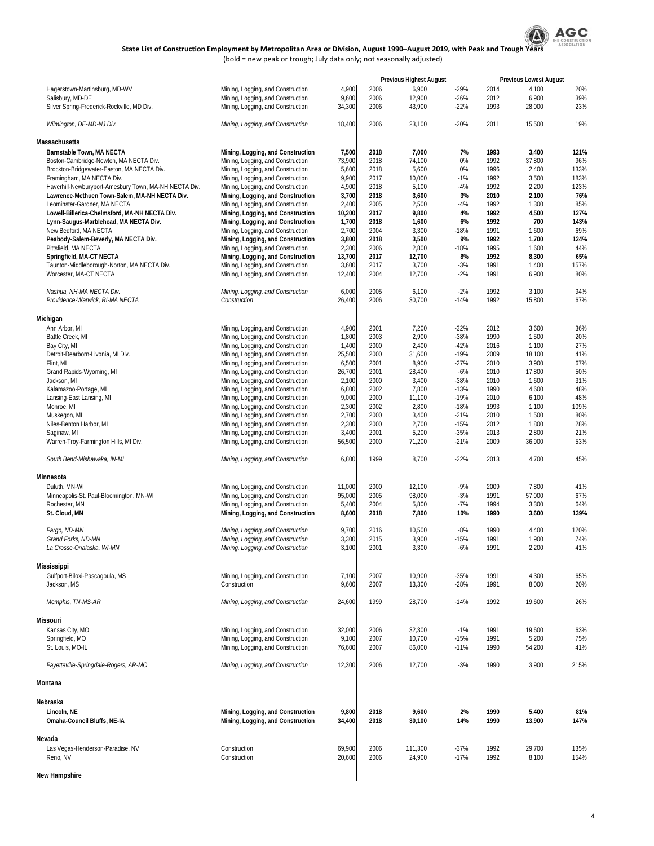

(bold = new peak or trough; July data only; not seasonally adjusted)

|                                                               |                                                                        |                 |              | <b>Previous Highest August</b> |                  |              | <b>Previous Lowest August</b> |             |
|---------------------------------------------------------------|------------------------------------------------------------------------|-----------------|--------------|--------------------------------|------------------|--------------|-------------------------------|-------------|
| Hagerstown-Martinsburg, MD-WV                                 | Mining, Logging, and Construction                                      | 4,900           | 2006         | 6,900                          | $-29%$           | 2014         | 4,100                         | 20%         |
| Salisbury, MD-DE                                              | Mining, Logging, and Construction                                      | 9,600           | 2006         | 12,900                         | $-26%$           | 2012         | 6,900                         | 39%         |
| Silver Spring-Frederick-Rockville, MD Div.                    | Mining, Logging, and Construction                                      | 34,300          | 2006         | 43,900                         | $-22%$           | 1993         | 28,000                        | 23%         |
| Wilmington, DE-MD-NJ Div.                                     | Mining, Logging, and Construction                                      | 18,400          | 2006         | 23,100                         | $-20%$           | 2011         | 15,500                        | 19%         |
| Massachusetts                                                 |                                                                        |                 |              |                                |                  |              |                               |             |
| Barnstable Town, MA NECTA                                     | Mining, Logging, and Construction                                      | 7,500           | 2018         | 7,000                          | 7%               | 1993         | 3,400                         | 121%        |
| Boston-Cambridge-Newton, MA NECTA Div.                        | Mining, Logging, and Construction                                      | 73,900          | 2018         | 74,100                         | 0%               | 1992         | 37,800                        | 96%         |
| Brockton-Bridgewater-Easton, MA NECTA Div.                    | Mining, Logging, and Construction                                      | 5,600           | 2018         | 5,600                          | 0%               | 1996         | 2,400                         | 133%        |
| Framingham, MA NECTA Div.                                     | Mining, Logging, and Construction                                      | 9,900           | 2017         | 10,000                         | $-1%$            | 1992         | 3,500                         | 183%        |
| Haverhill-Newburyport-Amesbury Town, MA-NH NECTA Div.         | Mining, Logging, and Construction                                      | 4,900           | 2018         | 5,100                          | $-4%$            | 1992         | 2,200                         | 123%        |
| Lawrence-Methuen Town-Salem, MA-NH NECTA Div.                 | Mining, Logging, and Construction                                      | 3,700           | 2018         | 3,600                          | 3%               | 2010         | 2,100                         | 76%         |
| Leominster-Gardner, MA NECTA                                  | Mining, Logging, and Construction                                      | 2,400           | 2005         | 2,500                          | -4%              | 1992         | 1,300                         | 85%         |
| Lowell-Billerica-Chelmsford, MA-NH NECTA Div.                 | Mining, Logging, and Construction                                      | 10,200          | 2017         | 9,800                          | 4%               | 1992         | 4,500                         | 127%        |
| Lynn-Saugus-Marblehead, MA NECTA Div.                         | Mining, Logging, and Construction                                      | 1,700           | 2018         | 1,600                          | 6%               | 1992         | 700                           | 143%        |
| New Bedford, MA NECTA<br>Peabody-Salem-Beverly, MA NECTA Div. | Mining, Logging, and Construction<br>Mining, Logging, and Construction | 2,700<br>3,800  | 2004<br>2018 | 3,300<br>3,500                 | $-18%$<br>9%     | 1991<br>1992 | 1,600<br>1,700                | 69%<br>124% |
| Pittsfield, MA NECTA                                          | Mining, Logging, and Construction                                      | 2,300           | 2006         | 2,800                          | $-18%$           | 1995         | 1,600                         | 44%         |
| Springfield, MA-CT NECTA                                      | Mining, Logging, and Construction                                      | 13,700          | 2017         | 12,700                         | 8%               | 1992         | 8,300                         | 65%         |
| Taunton-Middleborough-Norton, MA NECTA Div.                   | Mining, Logging, and Construction                                      | 3,600           | 2017         | 3,700                          | $-3%$            | 1991         | 1,400                         | 157%        |
| Worcester, MA-CT NECTA                                        | Mining, Logging, and Construction                                      | 12,400          | 2004         | 12,700                         | $-2\%$           | 1991         | 6,900                         | 80%         |
| Nashua, NH-MA NECTA Div.                                      | Mining, Logging, and Construction                                      | 6,000           | 2005         | 6,100                          | $-2%$            | 1992         | 3,100                         | 94%         |
| Providence-Warwick, RI-MA NECTA                               | Construction                                                           | 26,400          | 2006         | 30,700                         | $-14%$           | 1992         | 15,800                        | 67%         |
| Michigan                                                      |                                                                        |                 |              |                                |                  |              |                               |             |
| Ann Arbor, MI                                                 | Mining, Logging, and Construction                                      | 4,900           | 2001         | 7,200                          | $-32%$           | 2012         | 3,600                         | 36%         |
| Battle Creek, MI                                              | Mining, Logging, and Construction                                      | 1,800           | 2003         | 2,900                          | $-38%$           | 1990         | 1,500                         | 20%         |
| Bay City, MI                                                  | Mining, Logging, and Construction                                      | 1,400           | 2000         | 2,400                          | $-42%$           | 2016         | 1,100                         | 27%         |
| Detroit-Dearborn-Livonia, MI Div.                             | Mining, Logging, and Construction                                      | 25,500          | 2000         | 31,600                         | $-19%$           | 2009         | 18,100                        | 41%         |
| Flint. MI                                                     | Mining, Logging, and Construction                                      | 6,500           | 2001         | 8,900                          | $-27%$           | 2010         | 3,900                         | 67%         |
| Grand Rapids-Wyoming, MI                                      | Mining, Logging, and Construction                                      | 26,700          | 2001         | 28,400                         | $-6%$            | 2010         | 17,800                        | 50%         |
| Jackson, MI                                                   | Mining, Logging, and Construction                                      | 2,100           | 2000         | 3,400                          | $-38%$           | 2010         | 1,600                         | 31%         |
| Kalamazoo-Portage, MI                                         | Mining, Logging, and Construction                                      | 6,800           | 2002         | 7,800                          | $-13%$           | 1990         | 4,600                         | 48%         |
| Lansing-East Lansing, MI                                      | Mining, Logging, and Construction                                      | 9,000           | 2000         | 11,100                         | $-19%$           | 2010         | 6,100                         | 48%         |
| Monroe, MI                                                    | Mining, Logging, and Construction                                      | 2,300           | 2002         | 2,800                          | $-18%$           | 1993         | 1,100                         | 109%        |
| Muskegon, MI                                                  | Mining, Logging, and Construction                                      | 2,700           | 2000         | 3,400                          | $-21%$           | 2010         | 1,500                         | 80%         |
| Niles-Benton Harbor, MI                                       | Mining, Logging, and Construction                                      | 2,300           | 2000         | 2,700                          | $-15%$           | 2012         | 1,800                         | 28%         |
| Saginaw, MI<br>Warren-Troy-Farmington Hills, MI Div.          | Mining, Logging, and Construction<br>Mining, Logging, and Construction | 3,400<br>56,500 | 2001<br>2000 | 5,200<br>71,200                | $-35%$<br>$-21%$ | 2013<br>2009 | 2,800<br>36,900               | 21%<br>53%  |
| South Bend-Mishawaka, IN-MI                                   | Mining, Logging, and Construction                                      | 6,800           | 1999         | 8,700                          | $-22%$           | 2013         | 4,700                         | 45%         |
| Minnesota                                                     |                                                                        |                 |              |                                |                  |              |                               |             |
| Duluth, MN-WI                                                 | Mining, Logging, and Construction                                      | 11,000          | 2000         | 12,100                         | -9%              | 2009         | 7,800                         | 41%         |
| Minneapolis-St. Paul-Bloomington, MN-WI                       | Mining, Logging, and Construction                                      | 95,000          | 2005         | 98,000                         | $-3%$            | 1991         | 57,000                        | 67%         |
| Rochester, MN                                                 | Mining, Logging, and Construction                                      | 5,400           | 2004         | 5,800                          | $-7%$            | 1994         | 3,300                         | 64%         |
| St. Cloud, MN                                                 | Mining, Logging, and Construction                                      | 8,600           | 2018         | 7,800                          | 10%              | 1990         | 3,600                         | 139%        |
| Fargo, ND-MN                                                  | Mining, Logging, and Construction                                      | 9,700           | 2016         | 10,500                         | $-8%$            | 1990         | 4,400                         | 120%        |
| Grand Forks, ND-MN                                            | Mining, Logging, and Construction                                      | 3,300           | 2015         | 3,900                          | $-15%$           | 1991         | 1,900                         | 74%         |
| La Crosse-Onalaska, WI-MN                                     | Mining, Logging, and Construction                                      | 3,100           | 2001         | 3,300                          | $-6%$            | 1991         | 2,200                         | 41%         |
|                                                               |                                                                        |                 |              |                                |                  |              |                               |             |
| <b>Mississippi</b><br>Gulfport-Biloxi-Pascagoula, MS          |                                                                        |                 | 2007         | 10,900                         | $-35%$           | 1991         | 4,300                         | 65%         |
| Jackson, MS                                                   | Mining, Logging, and Construction<br>Construction                      | 7,100<br>9,600  | 2007         | 13,300                         | $-28%$           | 1991         | 8,000                         | 20%         |
| Memphis, TN-MS-AR                                             | Mining, Logging, and Construction                                      | 24,600          | 1999         | 28,700                         | $-14%$           | 1992         | 19,600                        | 26%         |
|                                                               |                                                                        |                 |              |                                |                  |              |                               |             |
| Missouri                                                      |                                                                        |                 |              |                                |                  |              |                               |             |
| Kansas City, MO                                               | Mining, Logging, and Construction                                      | 32,000          | 2006         | 32,300                         | $-1%$            | 1991         | 19,600                        | 63%         |
| Springfield, MO<br>St. Louis, MO-IL                           | Mining, Logging, and Construction<br>Mining, Logging, and Construction | 9,100<br>76,600 | 2007<br>2007 | 10,700<br>86,000               | $-15%$<br>$-11%$ | 1991<br>1990 | 5,200<br>54,200               | 75%<br>41%  |
| Fayetteville-Springdale-Rogers, AR-MO                         | Mining, Logging, and Construction                                      | 12,300          | 2006         | 12,700                         | $-3%$            | 1990         | 3,900                         | 215%        |
| Montana                                                       |                                                                        |                 |              |                                |                  |              |                               |             |
|                                                               |                                                                        |                 |              |                                |                  |              |                               |             |
| Nebraska                                                      |                                                                        |                 |              |                                |                  |              |                               |             |
| Lincoln, NE<br>Omaha-Council Bluffs, NE-IA                    | Mining, Logging, and Construction<br>Mining, Logging, and Construction | 9,800<br>34,400 | 2018<br>2018 | 9,600<br>30,100                | 2%<br>14%        | 1990<br>1990 | 5,400<br>13,900               | 81%<br>147% |
| Nevada                                                        |                                                                        |                 |              |                                |                  |              |                               |             |
| Las Vegas-Henderson-Paradise, NV                              | Construction                                                           | 69,900          | 2006         | 111,300                        | $-37%$           | 1992         | 29,700                        | 135%        |
| Reno, NV                                                      | Construction                                                           | 20,600          | 2006         | 24,900                         | $-17%$           | 1992         | 8,100                         | 154%        |
|                                                               |                                                                        |                 |              |                                |                  |              |                               |             |
| New Hampshire                                                 |                                                                        |                 |              |                                |                  |              |                               |             |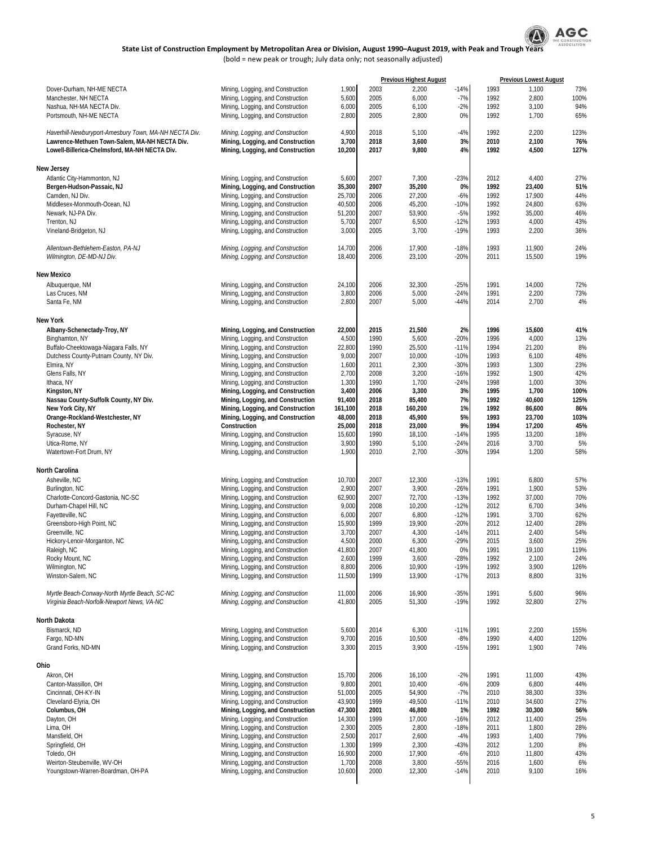

|                                                                                                |                                                                        |                   |              | <b>Previous Highest August</b> |                  |              | <b>Previous Lowest August</b> |              |
|------------------------------------------------------------------------------------------------|------------------------------------------------------------------------|-------------------|--------------|--------------------------------|------------------|--------------|-------------------------------|--------------|
| Dover-Durham, NH-ME NECTA                                                                      | Mining, Logging, and Construction                                      | 1,900             | 2003         | 2,200                          | $-14%$           | 1993         | 1,100                         | 73%          |
| Manchester, NH NECTA                                                                           | Mining, Logging, and Construction                                      | 5,600             | 2005         | 6,000                          | $-7%$            | 1992         | 2,800                         | 100%         |
| Nashua, NH-MA NECTA Div.<br>Portsmouth, NH-ME NECTA                                            | Mining, Logging, and Construction<br>Mining, Logging, and Construction | 6,000<br>2,800    | 2005<br>2005 | 6,100<br>2,800                 | $-2%$<br>0%      | 1992<br>1992 | 3,100<br>1,700                | 94%<br>65%   |
|                                                                                                |                                                                        |                   |              |                                |                  |              |                               |              |
| Haverhill-Newburyport-Amesbury Town, MA-NH NECTA Div.                                          | Mining, Logging, and Construction                                      | 4,900             | 2018         | 5,100                          | $-4%$            | 1992         | 2,200                         | 123%         |
| Lawrence-Methuen Town-Salem, MA-NH NECTA Div.<br>Lowell-Billerica-Chelmsford, MA-NH NECTA Div. | Mining, Logging, and Construction<br>Mining, Logging, and Construction | 3,700<br>10,200   | 2018<br>2017 | 3,600<br>9,800                 | 3%<br>4%         | 2010<br>1992 | 2,100<br>4,500                | 76%<br>127%  |
|                                                                                                |                                                                        |                   |              |                                |                  |              |                               |              |
| <b>New Jersey</b><br>Atlantic City-Hammonton, NJ                                               | Mining, Logging, and Construction                                      | 5,600             | 2007         | 7,300                          | $-23%$           | 2012         | 4,400                         | 27%          |
| Bergen-Hudson-Passaic, NJ                                                                      | Mining, Logging, and Construction                                      | 35,300            | 2007         | 35,200                         | 0%               | 1992         | 23,400                        | 51%          |
| Camden, NJ Div.                                                                                | Mining, Logging, and Construction                                      | 25,700            | 2006         | 27,200                         | $-6%$            | 1992         | 17,900                        | 44%          |
| Middlesex-Monmouth-Ocean, NJ                                                                   | Mining, Logging, and Construction                                      | 40,500            | 2006         | 45,200                         | $-10%$           | 1992         | 24,800                        | 63%          |
| Newark, NJ-PA Div.                                                                             | Mining, Logging, and Construction                                      | 51,200            | 2007         | 53,900                         | $-5%$            | 1992         | 35,000                        | 46%          |
| Trenton, NJ                                                                                    | Mining, Logging, and Construction                                      | 5,700             | 2007         | 6,500                          | $-12%$           | 1993         | 4,000                         | 43%          |
| Vineland-Bridgeton, NJ                                                                         | Mining, Logging, and Construction                                      | 3,000             | 2005         | 3,700                          | $-19%$           | 1993         | 2,200                         | 36%          |
| Allentown-Bethlehem-Easton, PA-NJ                                                              | Mining, Logging, and Construction                                      | 14,700            | 2006         | 17,900                         | $-18%$           | 1993         | 11,900                        | 24%          |
| Wilmington, DE-MD-NJ Div.                                                                      | Mining, Logging, and Construction                                      | 18,400            | 2006         | 23,100                         | $-20%$           | 2011         | 15,500                        | 19%          |
| <b>New Mexico</b>                                                                              |                                                                        |                   |              |                                |                  |              |                               |              |
| Albuaueraue, NM                                                                                | Mining, Logging, and Construction                                      | 24,100            | 2006         | 32,300                         | $-25%$           | 1991         | 14,000                        | 72%          |
| Las Cruces, NM                                                                                 | Mining, Logging, and Construction                                      | 3,800             | 2006         | 5,000                          | $-24%$           | 1991         | 2,200                         | 73%          |
| Santa Fe, NM                                                                                   | Mining, Logging, and Construction                                      | 2,800             | 2007         | 5,000                          | $-44%$           | 2014         | 2,700                         | 4%           |
| <b>New York</b>                                                                                |                                                                        |                   |              |                                |                  |              |                               |              |
| Albany-Schenectady-Troy, NY                                                                    | Mining, Logging, and Construction                                      | 22,000            | 2015         | 21,500                         | 2%               | 1996         | 15,600                        | 41%          |
| Binghamton, NY                                                                                 | Mining, Logging, and Construction                                      | 4,500             | 1990         | 5,600                          | $-20%$           | 1996         | 4,000                         | 13%          |
| Buffalo-Cheektowaga-Niagara Falls, NY                                                          | Mining, Logging, and Construction                                      | 22,800            | 1990         | 25,500                         | $-11%$           | 1994         | 21,200                        | 8%           |
| Dutchess County-Putnam County, NY Div.                                                         | Mining, Logging, and Construction                                      | 9,000             | 2007         | 10,000                         | $-10%$           | 1993         | 6,100                         | 48%          |
| Elmira, NY                                                                                     | Mining, Logging, and Construction                                      | 1,600             | 2011         | 2,300                          | $-30%$           | 1993         | 1,300                         | 23%          |
| Glens Falls, NY                                                                                | Mining, Logging, and Construction                                      | 2,700             | 2008         | 3,200                          | $-16%$           | 1992         | 1,900                         | 42%          |
| Ithaca, NY                                                                                     | Mining, Logging, and Construction                                      | 1,300             | 1990         | 1,700                          | $-24%$           | 1998         | 1,000                         | 30%          |
| Kingston, NY                                                                                   | Mining, Logging, and Construction                                      | 3,400             | 2006<br>2018 | 3,300<br>85,400                | 3%<br>7%         | 1995<br>1992 | 1,700<br>40,600               | 100%<br>125% |
| Nassau County-Suffolk County, NY Div.<br>New York City, NY                                     | Mining, Logging, and Construction<br>Mining, Logging, and Construction | 91,400<br>161,100 | 2018         | 160,200                        | 1%               | 1992         | 86,600                        | 86%          |
| Orange-Rockland-Westchester, NY                                                                | Mining, Logging, and Construction                                      | 48,000            | 2018         | 45,900                         | 5%               | 1993         | 23,700                        | 103%         |
| Rochester, NY                                                                                  | Construction                                                           | 25,000            | 2018         | 23,000                         | 9%               | 1994         | 17,200                        | 45%          |
| Syracuse, NY                                                                                   | Mining, Logging, and Construction                                      | 15,600            | 1990         | 18,100                         | $-14%$           | 1995         | 13,200                        | 18%          |
| Utica-Rome, NY                                                                                 | Mining, Logging, and Construction                                      | 3,900             | 1990         | 5,100                          | $-24%$           | 2016         | 3,700                         | 5%           |
| Watertown-Fort Drum, NY                                                                        | Mining, Logging, and Construction                                      | 1,900             | 2010         | 2,700                          | $-30%$           | 1994         | 1,200                         | 58%          |
| North Carolina                                                                                 |                                                                        |                   |              |                                |                  |              |                               |              |
| Asheville, NC                                                                                  | Mining, Logging, and Construction                                      | 10,700            | 2007         | 12,300                         | $-13%$           | 1991         | 6,800                         | 57%          |
| Burlington, NC                                                                                 | Mining, Logging, and Construction                                      | 2,900             | 2007         | 3,900                          | $-26%$           | 1991         | 1,900                         | 53%          |
| Charlotte-Concord-Gastonia, NC-SC                                                              | Mining, Logging, and Construction                                      | 62,900            | 2007         | 72,700                         | $-13%$           | 1992         | 37,000                        | 70%          |
| Durham-Chapel Hill, NC                                                                         | Mining, Logging, and Construction                                      | 9,000             | 2008         | 10,200                         | $-12%$           | 2012         | 6,700                         | 34%          |
| Fayetteville, NC                                                                               | Mining, Logging, and Construction                                      | 6,000             | 2007         | 6,800                          | $-12%$           | 1991         | 3,700                         | 62%          |
| Greensboro-High Point, NC                                                                      | Mining, Logging, and Construction                                      | 15,900            | 1999         | 19,900                         | $-20%$           | 2012         | 12,400                        | 28%          |
| Greenville, NC                                                                                 | Mining, Logging, and Construction                                      | 3,700             | 2007         | 4,300                          | $-14%$           | 2011         | 2,400                         | 54%          |
| Hickory-Lenoir-Morganton, NC                                                                   | Mining, Logging, and Construction                                      | 4,500             | 2000         | 6,300                          | $-29%$           | 2015         | 3,600                         | 25%          |
| Raleigh, NC                                                                                    | Mining, Logging, and Construction                                      | 41,800            | 2007         | 41,800                         | 0%               | 1991         | 19,100                        | 119%         |
| Rocky Mount, NC                                                                                | Mining, Logging, and Construction                                      | 2,600             | 1999         | 3,600                          | $-28%$           | 1992         | 2,100                         | 24%          |
| Wilmington, NC                                                                                 | Mining, Logging, and Construction                                      | 8,800             | 2006         | 10,900                         | $-19%$           | 1992         | 3,900                         | 126%         |
| Winston-Salem, NC                                                                              | Mining, Logging, and Construction                                      | 11,500            | 1999         | 13,900                         | $-17%$           | 2013         | 8,800                         | 31%          |
| Myrtle Beach-Conway-North Myrtle Beach, SC-NC<br>Virginia Beach-Norfolk-Newport News, VA-NC    | Mining, Logging, and Construction<br>Mining, Logging, and Construction | 11,000<br>41,800  | 2006<br>2005 | 16,900<br>51,300               | $-35%$<br>$-19%$ | 1991<br>1992 | 5,600<br>32,800               | 96%<br>27%   |
|                                                                                                |                                                                        |                   |              |                                |                  |              |                               |              |
| North Dakota                                                                                   |                                                                        |                   |              |                                |                  |              |                               |              |
| Bismarck, ND                                                                                   | Mining, Logging, and Construction                                      | 5,600             | 2014         | 6,300                          | $-11%$           | 1991         | 2,200                         | 155%         |
| Fargo, ND-MN<br>Grand Forks, ND-MN                                                             | Mining, Logging, and Construction<br>Mining, Logging, and Construction | 9,700<br>3,300    | 2016<br>2015 | 10,500<br>3,900                | $-8%$<br>$-15%$  | 1990<br>1991 | 4,400<br>1,900                | 120%<br>74%  |
|                                                                                                |                                                                        |                   |              |                                |                  |              |                               |              |
| Ohio<br>Akron, OH                                                                              | Mining, Logging, and Construction                                      | 15,700            | 2006         | 16,100                         | $-2%$            | 1991         | 11,000                        | 43%          |
| Canton-Massillon, OH                                                                           | Mining, Logging, and Construction                                      | 9,800             | 2001         | 10,400                         | $-6%$            | 2009         | 6,800                         | 44%          |
| Cincinnati, OH-KY-IN                                                                           | Mining, Logging, and Construction                                      | 51,000            | 2005         | 54,900                         | $-7%$            | 2010         | 38,300                        | 33%          |
| Cleveland-Elyria, OH                                                                           | Mining, Logging, and Construction                                      | 43,900            | 1999         | 49,500                         | $-11%$           | 2010         | 34,600                        | 27%          |
| Columbus, OH                                                                                   | Mining, Logging, and Construction                                      | 47,300            | 2001         | 46,800                         | 1%               | 1992         | 30,300                        | 56%          |
| Dayton, OH                                                                                     | Mining, Logging, and Construction                                      | 14,300            | 1999         | 17,000                         | $-16%$           | 2012         | 11,400                        | 25%          |
| Lima, OH                                                                                       | Mining, Logging, and Construction                                      | 2,300             | 2005         | 2,800                          | $-18%$           | 2011         | 1,800                         | 28%          |
| Mansfield, OH                                                                                  | Mining, Logging, and Construction                                      | 2,500             | 2017         | 2,600                          | $-4%$            | 1993         | 1,400                         | 79%          |
| Springfield, OH                                                                                | Mining, Logging, and Construction                                      | 1,300             | 1999         | 2,300                          | $-43%$           | 2012         | 1,200                         | 8%           |
| Toledo, OH                                                                                     | Mining, Logging, and Construction                                      | 16,900            | 2000         | 17,900                         | $-6%$            | 2010         | 11,800                        | 43%          |
| Weirton-Steubenville, WV-OH                                                                    | Mining, Logging, and Construction                                      | 1,700             | 2008         | 3,800                          | $-55%$           | 2016         | 1,600                         | 6%           |
| Youngstown-Warren-Boardman, OH-PA                                                              | Mining, Logging, and Construction                                      | 10,600            | 2000         | 12,300                         | $-14%$           | 2010         | 9,100                         | 16%          |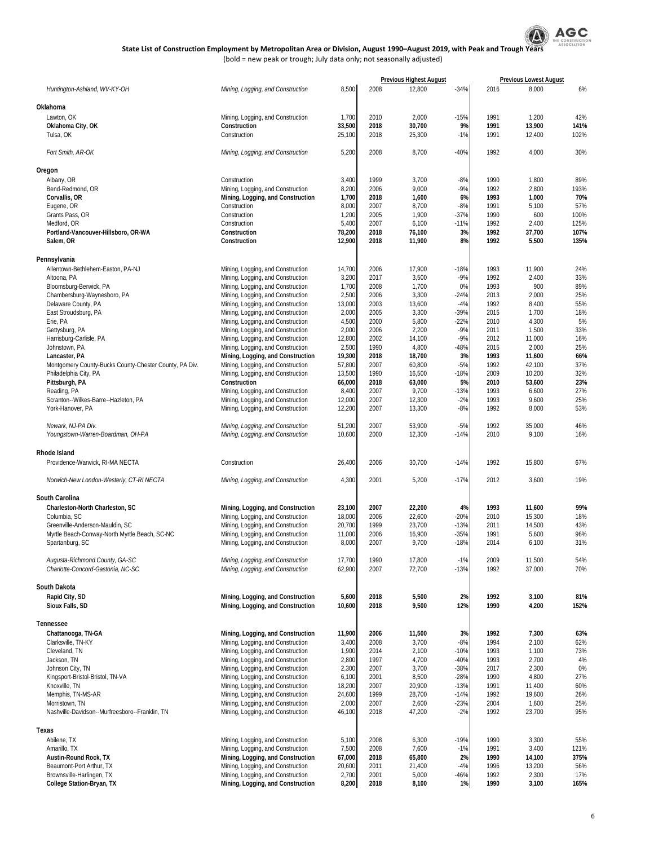

|                                                        |                                   |        |      | <b>Previous Highest August</b> |        |      | <b>Previous Lowest August</b> |      |
|--------------------------------------------------------|-----------------------------------|--------|------|--------------------------------|--------|------|-------------------------------|------|
| Huntington-Ashland, WV-KY-OH                           | Mining, Logging, and Construction | 8,500  | 2008 | 12,800                         | $-34%$ | 2016 | 8,000                         | 6%   |
|                                                        |                                   |        |      |                                |        |      |                               |      |
| Oklahoma                                               |                                   |        |      |                                |        |      |                               |      |
| Lawton, OK                                             | Mining, Logging, and Construction | 1,700  | 2010 | 2,000                          | $-15%$ | 1991 | 1,200                         | 42%  |
| Oklahoma City, OK                                      | Construction                      | 33,500 | 2018 | 30,700                         | 9%     | 1991 | 13,900                        | 141% |
| Tulsa, OK                                              | Construction                      | 25,100 | 2018 | 25,300                         | $-1%$  | 1991 | 12,400                        | 102% |
|                                                        |                                   |        |      |                                |        |      |                               |      |
| Fort Smith, AR-OK                                      | Mining, Logging, and Construction | 5,200  | 2008 | 8,700                          | $-40%$ | 1992 | 4,000                         | 30%  |
|                                                        |                                   |        |      |                                |        |      |                               |      |
| Oregon                                                 |                                   |        |      |                                |        |      |                               |      |
| Albany, OR                                             | Construction                      | 3,400  | 1999 | 3,700                          | $-8%$  | 1990 | 1,800                         | 89%  |
| Bend-Redmond, OR                                       | Mining, Logging, and Construction | 8,200  | 2006 | 9,000                          | $-9%$  | 1992 | 2,800                         | 193% |
| Corvallis, OR                                          | Mining, Logging, and Construction | 1,700  | 2018 | 1,600                          | 6%     | 1993 | 1,000                         | 70%  |
| Eugene, OR                                             | Construction                      | 8,000  | 2007 | 8,700                          | $-8%$  | 1991 | 5,100                         | 57%  |
| Grants Pass, OR                                        | Construction                      | 1,200  | 2005 | 1,900                          | $-37%$ | 1990 | 600                           | 100% |
| Medford, OR                                            | Construction                      | 5,400  | 2007 | 6,100                          | $-11%$ | 1992 | 2,400                         | 125% |
| Portland-Vancouver-Hillsboro, OR-WA                    | Construction                      | 78,200 | 2018 | 76,100                         | 3%     | 1992 | 37,700                        | 107% |
| Salem, OR                                              | Construction                      | 12,900 | 2018 | 11,900                         | 8%     | 1992 | 5,500                         | 135% |
|                                                        |                                   |        |      |                                |        |      |                               |      |
| Pennsylvania                                           |                                   |        |      |                                |        |      |                               |      |
| Allentown-Bethlehem-Easton, PA-NJ                      | Mining, Logging, and Construction | 14,700 | 2006 | 17,900                         | $-18%$ | 1993 | 11,900                        | 24%  |
| Altoona, PA                                            | Mining, Logging, and Construction | 3,200  | 2017 | 3,500                          | $-9%$  | 1992 | 2,400                         | 33%  |
| Bloomsburg-Berwick, PA                                 | Mining, Logging, and Construction | 1,700  | 2008 | 1,700                          | 0%     | 1993 | 900                           | 89%  |
| Chambersburg-Waynesboro, PA                            | Mining, Logging, and Construction | 2,500  | 2006 | 3,300                          | $-24%$ | 2013 | 2,000                         | 25%  |
| Delaware County, PA                                    | Mining, Logging, and Construction | 13,000 | 2003 | 13,600                         | $-4%$  | 1992 | 8,400                         | 55%  |
| East Stroudsburg, PA                                   | Mining, Logging, and Construction | 2,000  | 2005 | 3,300                          | -39%   | 2015 | 1,700                         | 18%  |
| Erie, PA                                               | Mining, Logging, and Construction | 4,500  | 2000 | 5,800                          | $-22%$ | 2010 | 4,300                         | 5%   |
| Gettysburg, PA                                         | Mining, Logging, and Construction | 2,000  | 2006 | 2,200                          | $-9%$  | 2011 | 1,500                         | 33%  |
| Harrisburg-Carlisle, PA                                | Mining, Logging, and Construction | 12,800 | 2002 | 14,100                         | $-9%$  | 2012 | 11,000                        | 16%  |
| Johnstown, PA                                          | Mining, Logging, and Construction | 2,500  | 1990 | 4,800                          | $-48%$ | 2015 | 2,000                         | 25%  |
| Lancaster, PA                                          | Mining, Logging, and Construction | 19,300 | 2018 | 18,700                         | 3%     | 1993 | 11,600                        | 66%  |
| Montgomery County-Bucks County-Chester County, PA Div. | Mining, Logging, and Construction | 57,800 | 2007 | 60,800                         | $-5%$  | 1992 | 42,100                        | 37%  |
| Philadelphia City, PA                                  | Mining, Logging, and Construction | 13,500 | 1990 | 16,500                         | $-18%$ | 2009 | 10,200                        | 32%  |
| Pittsburgh, PA                                         | Construction                      | 66,000 | 2018 | 63,000                         | 5%     | 2010 | 53,600                        | 23%  |
| Reading, PA                                            | Mining, Logging, and Construction | 8,400  | 2007 | 9,700                          | $-13%$ | 1993 | 6,600                         | 27%  |
| Scranton--Wilkes-Barre--Hazleton, PA                   | Mining, Logging, and Construction | 12,000 | 2007 | 12,300                         | $-2%$  | 1993 | 9,600                         | 25%  |
| York-Hanover, PA                                       | Mining, Logging, and Construction | 12,200 | 2007 | 13,300                         | $-8%$  | 1992 | 8,000                         | 53%  |
| Newark, NJ-PA Div.                                     | Mining, Logging, and Construction | 51,200 | 2007 | 53,900                         | $-5%$  | 1992 | 35,000                        | 46%  |
| Youngstown-Warren-Boardman, OH-PA                      | Mining, Logging, and Construction | 10,600 | 2000 | 12,300                         | $-14%$ | 2010 | 9,100                         | 16%  |
|                                                        |                                   |        |      |                                |        |      |                               |      |
| Rhode Island                                           |                                   |        |      |                                |        |      |                               |      |
| Providence-Warwick, RI-MA NECTA                        | Construction                      | 26,400 | 2006 | 30,700                         | $-14%$ | 1992 | 15,800                        | 67%  |
|                                                        |                                   |        |      |                                |        |      |                               |      |
| Norwich-New London-Westerly, CT-RI NECTA               | Mining, Logging, and Construction | 4,300  | 2001 | 5,200                          | $-17%$ | 2012 | 3,600                         | 19%  |
|                                                        |                                   |        |      |                                |        |      |                               |      |
| South Carolina                                         |                                   |        |      |                                |        |      |                               |      |
| Charleston-North Charleston, SC                        | Mining, Logging, and Construction | 23,100 | 2007 | 22,200                         | 4%     | 1993 | 11,600                        | 99%  |
| Columbia, SC                                           | Mining, Logging, and Construction | 18,000 | 2006 | 22,600                         | $-20%$ | 2010 | 15,300                        | 18%  |
| Greenville-Anderson-Mauldin, SC                        | Mining, Logging, and Construction | 20,700 | 1999 | 23,700                         | $-13%$ | 2011 | 14,500                        | 43%  |
| Myrtle Beach-Conway-North Myrtle Beach, SC-NC          | Mining, Logging, and Construction | 11,000 | 2006 | 16,900                         | $-35%$ | 1991 | 5,600                         | 96%  |
| Spartanburg, SC                                        | Mining, Logging, and Construction | 8,000  | 2007 | 9,700                          | $-18%$ | 2014 | 6,100                         | 31%  |
|                                                        |                                   |        |      |                                |        |      |                               |      |
| Augusta-Richmond County, GA-SC                         | Mining, Logging, and Construction | 17,700 | 1990 | 17,800                         | $-1%$  | 2009 | 11,500                        | 54%  |
| Charlotte-Concord-Gastonia, NC-SC                      | Mining, Logging, and Construction | 62,900 | 2007 | 72,700                         | $-13%$ | 1992 | 37,000                        | 70%  |
|                                                        |                                   |        |      |                                |        |      |                               |      |
| South Dakota                                           |                                   |        |      |                                |        |      |                               |      |
| Rapid City, SD                                         | Mining, Logging, and Construction | 5,600  | 2018 | 5,500                          | 2%     | 1992 | 3,100                         | 81%  |
| Sioux Falls, SD                                        | Mining, Logging, and Construction | 10,600 | 2018 | 9,500                          | 12%    | 1990 | 4,200                         | 152% |
|                                                        |                                   |        |      |                                |        |      |                               |      |
| Tennessee                                              |                                   |        |      |                                |        |      |                               |      |
| Chattanooga, TN-GA                                     | Mining, Logging, and Construction | 11,900 | 2006 | 11,500                         | 3%     | 1992 | 7,300                         | 63%  |
| Clarksville, TN-KY                                     | Mining, Logging, and Construction | 3,400  | 2008 | 3,700                          | $-8%$  | 1994 | 2,100                         | 62%  |
| Cleveland, TN                                          | Mining, Logging, and Construction | 1,900  | 2014 | 2,100                          | $-10%$ | 1993 | 1,100                         | 73%  |
| Jackson, TN                                            | Mining, Logging, and Construction | 2,800  | 1997 | 4,700                          | -40%   | 1993 | 2,700                         | 4%   |
| Johnson City, TN                                       | Mining, Logging, and Construction | 2,300  | 2007 | 3,700                          | $-38%$ | 2017 | 2,300                         | 0%   |
| Kingsport-Bristol-Bristol, TN-VA                       | Mining, Logging, and Construction | 6,100  | 2001 | 8,500                          | $-28%$ | 1990 | 4,800                         | 27%  |
| Knoxville, TN                                          | Mining, Logging, and Construction | 18,200 | 2007 | 20,900                         | $-13%$ | 1991 | 11,400                        | 60%  |
| Memphis, TN-MS-AR                                      | Mining, Logging, and Construction | 24,600 | 1999 | 28,700                         | $-14%$ | 1992 | 19,600                        | 26%  |
| Morristown, TN                                         | Mining, Logging, and Construction | 2,000  | 2007 | 2,600                          | -23%   | 2004 | 1,600                         | 25%  |
| Nashville-Davidson--Murfreesboro--Franklin, TN         | Mining, Logging, and Construction | 46,100 | 2018 | 47,200                         | $-2%$  | 1992 | 23,700                        | 95%  |
|                                                        |                                   |        |      |                                |        |      |                               |      |
| Texas                                                  |                                   |        |      |                                |        |      |                               |      |
| Abilene, TX                                            | Mining, Logging, and Construction | 5,100  | 2008 | 6,300                          | $-19%$ | 1990 | 3,300                         | 55%  |
| Amarillo, TX                                           | Mining, Logging, and Construction | 7,500  | 2008 | 7,600                          | $-1%$  | 1991 | 3,400                         | 121% |
| Austin-Round Rock, TX                                  | Mining, Logging, and Construction | 67,000 | 2018 | 65,800                         | 2%     | 1990 | 14,100                        | 375% |
| Beaumont-Port Arthur, TX                               | Mining, Logging, and Construction | 20,600 | 2011 | 21,400                         | $-4%$  | 1996 | 13,200                        | 56%  |
| Brownsville-Harlingen, TX                              | Mining, Logging, and Construction | 2,700  | 2001 | 5,000                          | -46%   | 1992 | 2,300                         | 17%  |
| College Station-Bryan, TX                              | Mining, Logging, and Construction | 8,200  | 2018 | 8,100                          | 1%     | 1990 | 3,100                         | 165% |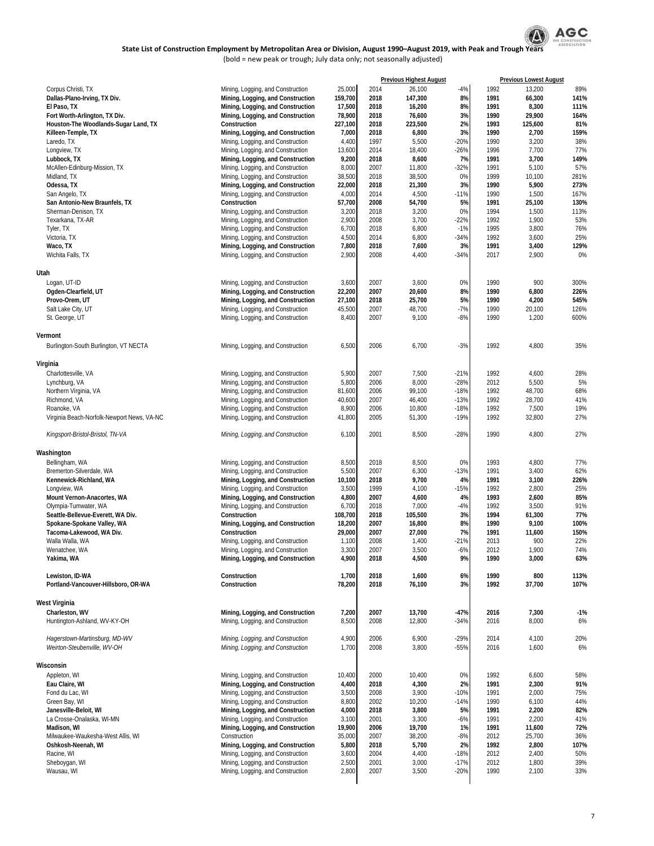

|                                              |                                                                        |                  |              | <b>Previous Highest August</b> |              |              | <b>Previous Lowest August</b> |              |
|----------------------------------------------|------------------------------------------------------------------------|------------------|--------------|--------------------------------|--------------|--------------|-------------------------------|--------------|
| Corpus Christi, TX                           | Mining, Logging, and Construction                                      | 25,000           | 2014         | 26,100                         | -4%          | 1992         | 13,200                        | 89%          |
| Dallas-Plano-Irving, TX Div.                 | Mining, Logging, and Construction                                      | 159,700          | 2018         | 147,300                        | 8%           | 1991         | 66,300                        | 141%         |
| El Paso, TX<br>Fort Worth-Arlington, TX Div. | Mining, Logging, and Construction<br>Mining, Logging, and Construction | 17,500<br>78,900 | 2018<br>2018 | 16,200<br>76,600               | 8%<br>3%     | 1991<br>1990 | 8,300<br>29,900               | 111%<br>164% |
| Houston-The Woodlands-Sugar Land, TX         | Construction                                                           | 227,100          | 2018         | 223,500                        | 2%           | 1993         | 125,600                       | 81%          |
| Killeen-Temple, TX                           | Mining, Logging, and Construction                                      | 7,000            | 2018         | 6,800                          | 3%           | 1990         | 2,700                         | 159%         |
| Laredo, TX                                   | Mining, Logging, and Construction                                      | 4,400            | 1997         | 5,500                          | $-20%$       | 1990         | 3,200                         | 38%          |
| Longview, TX                                 | Mining, Logging, and Construction                                      | 13,600           | 2014         | 18,400                         | $-26%$       | 1996         | 7,700                         | 77%          |
| Lubbock, TX                                  | Mining, Logging, and Construction                                      | 9,200            | 2018         | 8,600                          | 7%           | 1991         | 3,700                         | 149%         |
| McAllen-Edinburg-Mission, TX                 | Mining, Logging, and Construction                                      | 8,000            | 2007         | 11,800                         | $-32%$       | 1991         | 5,100                         | 57%          |
| Midland, TX                                  | Mining, Logging, and Construction                                      | 38,500           | 2018<br>2018 | 38,500                         | 0%<br>3%     | 1999<br>1990 | 10,100                        | 281%<br>273% |
| Odessa, TX<br>San Angelo, TX                 | Mining, Logging, and Construction<br>Mining, Logging, and Construction | 22,000<br>4,000  | 2014         | 21,300<br>4,500                | $-11%$       | 1990         | 5,900<br>1,500                | 167%         |
| San Antonio-New Braunfels, TX                | Construction                                                           | 57,700           | 2008         | 54,700                         | 5%           | 1991         | 25,100                        | 130%         |
| Sherman-Denison, TX                          | Mining, Logging, and Construction                                      | 3,200            | 2018         | 3,200                          | 0%           | 1994         | 1,500                         | 113%         |
| Texarkana, TX-AR                             | Mining, Logging, and Construction                                      | 2,900            | 2008         | 3,700                          | $-22%$       | 1992         | 1,900                         | 53%          |
| Tyler, TX                                    | Mining, Logging, and Construction                                      | 6,700            | 2018         | 6,800                          | $-1%$        | 1995         | 3,800                         | 76%          |
| Victoria, TX                                 | Mining, Logging, and Construction                                      | 4,500            | 2014         | 6,800                          | $-34%$       | 1992         | 3,600                         | 25%          |
| Waco, TX                                     | Mining, Logging, and Construction                                      | 7,800            | 2018         | 7,600                          | 3%           | 1991         | 3,400                         | 129%         |
| Wichita Falls, TX                            | Mining, Logging, and Construction                                      | 2,900            | 2008         | 4,400                          | $-34%$       | 2017         | 2,900                         | 0%           |
| Utah                                         |                                                                        |                  |              |                                |              |              |                               |              |
| Logan, UT-ID                                 | Mining, Logging, and Construction                                      | 3,600            | 2007         | 3,600                          | 0%           | 1990         | 900                           | 300%         |
| Ogden-Clearfield, UT                         | Mining, Logging, and Construction                                      | 22,200           | 2007         | 20,600                         | 8%           | 1990         | 6,800                         | 226%         |
| Provo-Orem, UT                               | Mining, Logging, and Construction                                      | 27,100           | 2018         | 25,700                         | 5%           | 1990         | 4,200                         | 545%         |
| Salt Lake City, UT                           | Mining, Logging, and Construction                                      | 45,500           | 2007         | 48,700                         | $-7%$        | 1990         | 20,100                        | 126%         |
| St. George, UT                               | Mining, Logging, and Construction                                      | 8,400            | 2007         | 9,100                          | $-8%$        | 1990         | 1,200                         | 600%         |
| Vermont                                      |                                                                        |                  |              |                                |              |              |                               |              |
| Burlington-South Burlington, VT NECTA        | Mining, Logging, and Construction                                      | 6,500            | 2006         | 6,700                          | $-3%$        | 1992         | 4,800                         | 35%          |
|                                              |                                                                        |                  |              |                                |              |              |                               |              |
| Virginia<br>Charlottesville, VA              |                                                                        |                  |              |                                | $-21%$       | 1992         |                               |              |
| Lynchburg, VA                                | Mining, Logging, and Construction<br>Mining, Logging, and Construction | 5,900<br>5,800   | 2007<br>2006 | 7,500<br>8,000                 | $-28%$       | 2012         | 4,600<br>5,500                | 28%<br>5%    |
| Northern Virginia, VA                        | Mining, Logging, and Construction                                      | 81,600           | 2006         | 99,100                         | $-18%$       | 1992         | 48,700                        | 68%          |
| Richmond, VA                                 | Mining, Logging, and Construction                                      | 40,600           | 2007         | 46,400                         | $-13%$       | 1992         | 28,700                        | 41%          |
| Roanoke, VA                                  | Mining, Logging, and Construction                                      | 8,900            | 2006         | 10,800                         | $-18%$       | 1992         | 7,500                         | 19%          |
| Virginia Beach-Norfolk-Newport News, VA-NC   | Mining, Logging, and Construction                                      | 41,800           | 2005         | 51,300                         | $-19%$       | 1992         | 32,800                        | 27%          |
| Kingsport-Bristol-Bristol, TN-VA             | Mining, Logging, and Construction                                      | 6,100            | 2001         | 8,500                          | $-28%$       | 1990         | 4,800                         | 27%          |
| Washington                                   |                                                                        |                  |              |                                |              |              |                               |              |
| Bellingham, WA                               | Mining, Logging, and Construction                                      | 8,500            | 2018         | 8,500                          | 0%           | 1993         | 4,800                         | 77%          |
| Bremerton-Silverdale, WA                     | Mining, Logging, and Construction                                      | 5,500            | 2007         | 6,300                          | $-13%$       | 1991         | 3,400                         | 62%          |
| Kennewick-Richland, WA                       | Mining, Logging, and Construction                                      | 10,100           | 2018         | 9,700                          | 4%           | 1991         | 3,100                         | 226%         |
| Longview, WA                                 | Mining, Logging, and Construction                                      | 3,500            | 1999         | 4,100                          | $-15%$       | 1992         | 2,800                         | 25%          |
| Mount Vernon-Anacortes, WA                   | Mining, Logging, and Construction                                      | 4,800            | 2007         | 4,600                          | 4%           | 1993         | 2,600                         | 85%          |
| Olympia-Tumwater, WA                         | Mining, Logging, and Construction                                      | 6,700            | 2018         | 7,000                          | $-4%$        | 1992         | 3,500                         | 91%          |
| Seattle-Bellevue-Everett, WA Div.            | Construction                                                           | 108,700          | 2018         | 105,500                        | 3%           | 1994         | 61,300                        | 77%          |
| Spokane-Spokane Valley, WA                   | Mining, Logging, and Construction                                      | 18,200           | 2007         | 16,800                         | 8%           | 1990         | 9,100                         | 100%         |
| Tacoma-Lakewood, WA Div.<br>Walla Walla, WA  | Construction<br>Mining, Logging, and Construction                      | 29,000<br>1,100  | 2007<br>2008 | 27,000<br>1,400                | 7%<br>$-21%$ | 1991<br>2013 | 11,600<br>900                 | 150%<br>22%  |
| Wenatchee, WA                                | Mining, Logging, and Construction                                      | 3,300            | 2007         | 3,500                          | $-6%$        | 2012         | 1,900                         | 74%          |
| Yakima, WA                                   | Mining, Logging, and Construction                                      | 4,900            | 2018         | 4,500                          | 9%           | 1990         | 3,000                         | 63%          |
| Lewiston, ID-WA                              | Construction                                                           | 1,700            | 2018         | 1,600                          | 6%           | 1990         | 800                           | 113%         |
| Portland-Vancouver-Hillsboro, OR-WA          | Construction                                                           | 78,200           | 2018         | 76,100                         | 3%           | 1992         | 37,700                        | 107%         |
| West Virginia                                |                                                                        |                  |              |                                |              |              |                               |              |
| Charleston, WV                               | Mining, Logging, and Construction                                      | 7,200            | 2007         | 13,700                         | $-47%$       | 2016         | 7,300                         | $-1%$        |
| Huntington-Ashland, WV-KY-OH                 | Mining, Logging, and Construction                                      | 8,500            | 2008         | 12,800                         | $-34%$       | 2016         | 8,000                         | 6%           |
| Hagerstown-Martinsburg, MD-WV                | Mining, Logging, and Construction                                      | 4,900            | 2006         | 6,900                          | $-29%$       | 2014         | 4,100                         | 20%          |
| Weirton-Steubenville, WV-OH                  | Mining, Logging, and Construction                                      | 1,700            | 2008         | 3,800                          | $-55%$       | 2016         | 1,600                         | 6%           |
| Wisconsin                                    |                                                                        |                  |              |                                |              |              |                               |              |
| Appleton, WI                                 | Mining, Logging, and Construction                                      | 10,400           | 2000         | 10,400                         | 0%           | 1992         | 6,600                         | 58%          |
| Eau Claire, WI                               | Mining, Logging, and Construction                                      | 4,400            | 2018         | 4,300                          | 2%           | 1991         | 2,300                         | 91%          |
| Fond du Lac, WI                              | Mining, Logging, and Construction                                      | 3,500            | 2008         | 3,900                          | $-10%$       | 1991         | 2,000                         | 75%          |
| Green Bay, WI                                | Mining, Logging, and Construction                                      | 8,800            | 2002         | 10,200                         | $-14%$       | 1990         | 6,100                         | 44%          |
| Janesville-Beloit, WI                        | Mining, Logging, and Construction                                      | 4,000            | 2018         | 3,800                          | 5%           | 1991         | 2,200                         | 82%          |
| La Crosse-Onalaska, WI-MN                    | Mining, Logging, and Construction                                      | 3,100            | 2001         | 3,300                          | $-6%$        | 1991         | 2,200                         | 41%          |
| Madison, WI                                  | Mining, Logging, and Construction                                      | 19,900           | 2006         | 19,700                         | 1%           | 1991         | 11,600                        | 72%          |
| Milwaukee-Waukesha-West Allis, WI            | Construction                                                           | 35,000           | 2007         | 38,200                         | $-8%$        | 2012         | 25,700                        | 36%          |
| Oshkosh-Neenah, WI<br>Racine, WI             | Mining, Logging, and Construction<br>Mining, Logging, and Construction | 5,800<br>3,600   | 2018<br>2004 | 5,700<br>4,400                 | 2%<br>$-18%$ | 1992<br>2012 | 2,800<br>2,400                | 107%<br>50%  |
| Sheboygan, WI                                | Mining, Logging, and Construction                                      | 2,500            | 2001         | 3,000                          | $-17%$       | 2012         | 1,800                         | 39%          |
| Wausau, WI                                   | Mining, Logging, and Construction                                      | 2,800            | 2007         | 3,500                          | $-20%$       | 1990         | 2,100                         | 33%          |
|                                              |                                                                        |                  |              |                                |              |              |                               |              |
|                                              |                                                                        |                  |              |                                |              |              |                               |              |